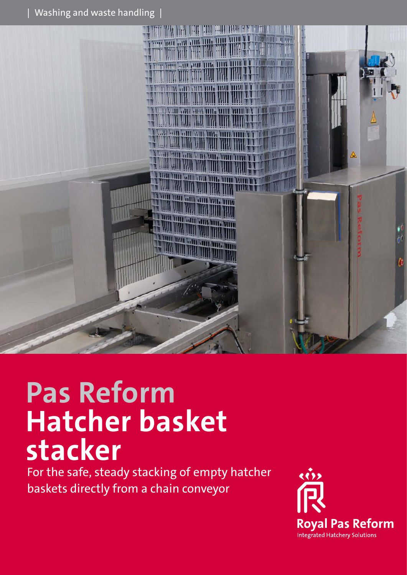$|$  Washing and waste handling  $|$ 



# **Pas Reform Hatcher basket stacker**

For the safe, steady stacking of empty hatcher baskets directly from a chain conveyor